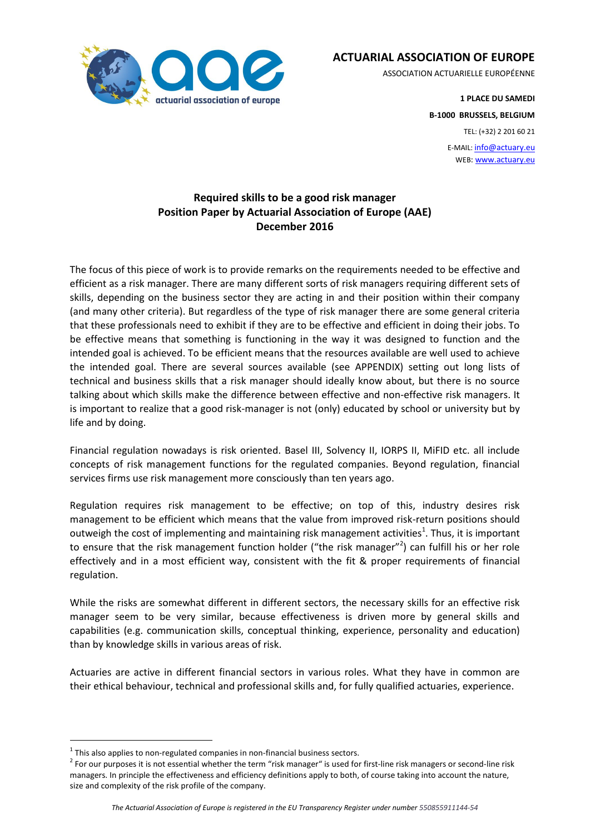

**ACTUARIAL ASSOCIATION OF EUROPE**

ASSOCIATION ACTUARIELLE EUROPÉENNE

**1 PLACE DU SAMEDI B-1000 BRUSSELS, BELGIUM**

TEL: (+32) 2 201 60 21

E-MAIL: info@actuary.eu WEB: www.actuary.eu

## **Required skills to be a good risk manager Position Paper by Actuarial Association of Europe (AAE) December 2016**

The focus of this piece of work is to provide remarks on the requirements needed to be effective and efficient as a risk manager. There are many different sorts of risk managers requiring different sets of skills, depending on the business sector they are acting in and their position within their company (and many other criteria). But regardless of the type of risk manager there are some general criteria that these professionals need to exhibit if they are to be effective and efficient in doing their jobs. To be effective means that something is functioning in the way it was designed to function and the intended goal is achieved. To be efficient means that the resources available are well used to achieve the intended goal. There are several sources available (see APPENDIX) setting out long lists of technical and business skills that a risk manager should ideally know about, but there is no source talking about which skills make the difference between effective and non-effective risk managers. It is important to realize that a good risk-manager is not (only) educated by school or university but by life and by doing.

Financial regulation nowadays is risk oriented. Basel III, Solvency II, IORPS II, MiFID etc. all include concepts of risk management functions for the regulated companies. Beyond regulation, financial services firms use risk management more consciously than ten years ago.

Regulation requires risk management to be effective; on top of this, industry desires risk management to be efficient which means that the value from improved risk-return positions should outweigh the cost of implementing and maintaining risk management activities<sup>1</sup>. Thus, it is important to ensure that the risk management function holder ("the risk manager"<sup>2</sup>) can fulfill his or her role effectively and in a most efficient way, consistent with the fit & proper requirements of financial regulation.

While the risks are somewhat different in different sectors, the necessary skills for an effective risk manager seem to be very similar, because effectiveness is driven more by general skills and capabilities (e.g. communication skills, conceptual thinking, experience, personality and education) than by knowledge skills in various areas of risk.

Actuaries are active in different financial sectors in various roles. What they have in common are their ethical behaviour, technical and professional skills and, for fully qualified actuaries, experience.

l

 $^1$  This also applies to non-regulated companies in non-financial business sectors.

 $^2$  For our purposes it is not essential whether the term "risk manager" is used for first-line risk managers or second-line risk managers. In principle the effectiveness and efficiency definitions apply to both, of course taking into account the nature, size and complexity of the risk profile of the company.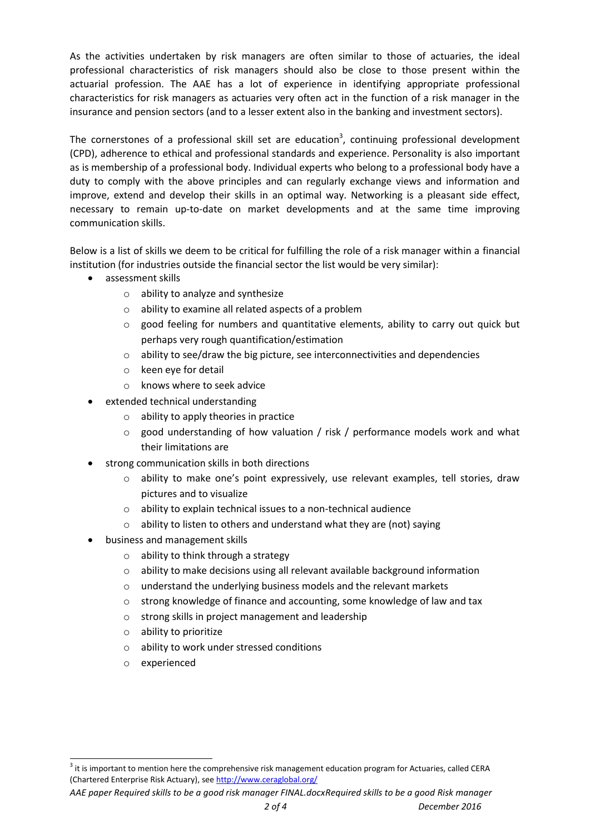As the activities undertaken by risk managers are often similar to those of actuaries, the ideal professional characteristics of risk managers should also be close to those present within the actuarial profession. The AAE has a lot of experience in identifying appropriate professional characteristics for risk managers as actuaries very often act in the function of a risk manager in the insurance and pension sectors (and to a lesser extent also in the banking and investment sectors).

The cornerstones of a professional skill set are education<sup>3</sup>, continuing professional development (CPD), adherence to ethical and professional standards and experience. Personality is also important as is membership of a professional body. Individual experts who belong to a professional body have a duty to comply with the above principles and can regularly exchange views and information and improve, extend and develop their skills in an optimal way. Networking is a pleasant side effect, necessary to remain up-to-date on market developments and at the same time improving communication skills.

Below is a list of skills we deem to be critical for fulfilling the role of a risk manager within a financial institution (for industries outside the financial sector the list would be very similar):

- assessment skills
	- o ability to analyze and synthesize
	- o ability to examine all related aspects of a problem
	- $\circ$  good feeling for numbers and quantitative elements, ability to carry out quick but perhaps very rough quantification/estimation
	- $\circ$  ability to see/draw the big picture, see interconnectivities and dependencies
	- o keen eye for detail
	- o knows where to seek advice
- extended technical understanding
	- o ability to apply theories in practice
	- $\circ$  good understanding of how valuation / risk / performance models work and what their limitations are
- strong communication skills in both directions
	- o ability to make one's point expressively, use relevant examples, tell stories, draw pictures and to visualize
	- o ability to explain technical issues to a non-technical audience
	- $\circ$  ability to listen to others and understand what they are (not) saying
- business and management skills
	- o ability to think through a strategy
	- $\circ$  ability to make decisions using all relevant available background information
	- o understand the underlying business models and the relevant markets
	- o strong knowledge of finance and accounting, some knowledge of law and tax
	- o strong skills in project management and leadership
	- o ability to prioritize
	- o ability to work under stressed conditions
	- o experienced

l

*AAE paper Required skills to be a good risk manager FINAL.docxRequired skills to be a good Risk manager* 

 $^3$  it is important to mention here the comprehensive risk management education program for Actuaries, called CERA (Chartered Enterprise Risk Actuary), se[e http://www.ceraglobal.org/](http://www.ceraglobal.org/)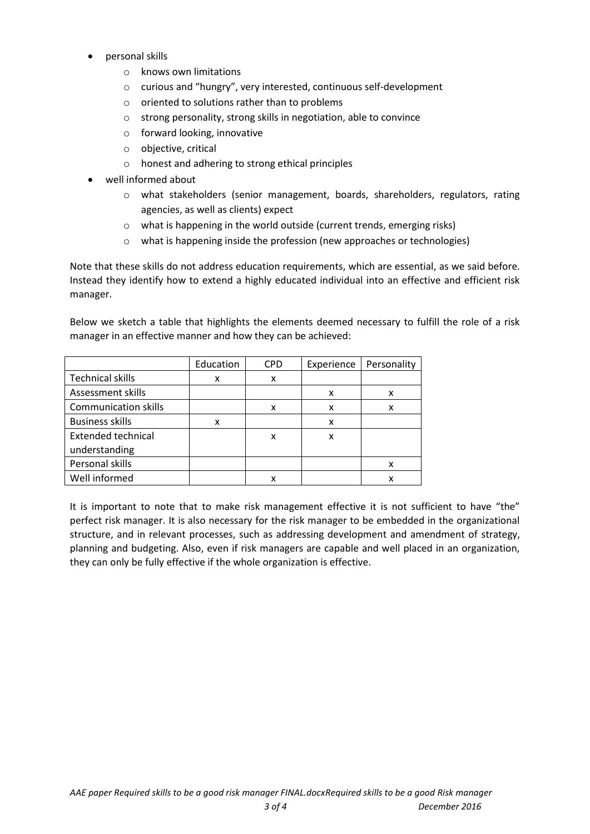- personal skills
	- o knows own limitations
	- o curious and "hungry", very interested, continuous self-development
	- o oriented to solutions rather than to problems
	- o strong personality, strong skills in negotiation, able to convince
	- o forward looking, innovative
	- o objective, critical
	- o honest and adhering to strong ethical principles
- well informed about
	- o what stakeholders (senior management, boards, shareholders, regulators, rating agencies, as well as clients) expect
	- o what is happening in the world outside (current trends, emerging risks)
	- o what is happening inside the profession (new approaches or technologies)

Note that these skills do not address education requirements, which are essential, as we said before. Instead they identify how to extend a highly educated individual into an effective and efficient risk manager.

Below we sketch a table that highlights the elements deemed necessary to fulfill the role of a risk manager in an effective manner and how they can be achieved:

|                             | Education | <b>CPD</b> | Experience | Personality |
|-----------------------------|-----------|------------|------------|-------------|
| <b>Technical skills</b>     | x         | x          |            |             |
| Assessment skills           |           |            | x          | x           |
| <b>Communication skills</b> |           | x          | x          | x           |
| <b>Business skills</b>      | x         |            | x          |             |
| <b>Extended technical</b>   |           | x          | x          |             |
| understanding               |           |            |            |             |
| Personal skills             |           |            |            | x           |
| Well informed               |           | x          |            | x           |

It is important to note that to make risk management effective it is not sufficient to have "the" perfect risk manager. It is also necessary for the risk manager to be embedded in the organizational structure, and in relevant processes, such as addressing development and amendment of strategy, planning and budgeting. Also, even if risk managers are capable and well placed in an organization, they can only be fully effective if the whole organization is effective.